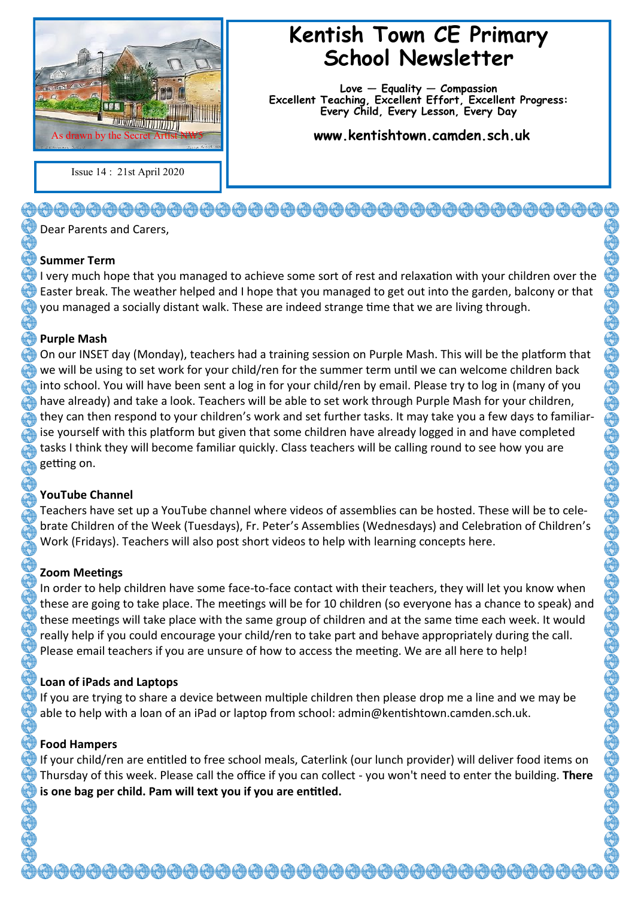

Issue 14 : 21st April 2020

# **Kentish Town CE Primary School Newsletter**

**Love — Equality — Compassion Excellent Teaching, Excellent Effort, Excellent Progress: Every Child, Every Lesson, Every Day**

**www.kentishtown.camden.sch.uk** 

Dear Parents and Carers,

#### **Summer Term**

I very much hope that you managed to achieve some sort of rest and relaxation with your children over the Easter break. The weather helped and I hope that you managed to get out into the garden, balcony or that you managed a socially distant walk. These are indeed strange time that we are living through.

#### **Purple Mash**

On our INSET day (Monday), teachers had a training session on Purple Mash. This will be the platform that we will be using to set work for your child/ren for the summer term until we can welcome children back into school. You will have been sent a log in for your child/ren by email. Please try to log in (many of you have already) and take a look. Teachers will be able to set work through Purple Mash for your children, they can then respond to your children's work and set further tasks. It may take you a few days to familiarise yourself with this platform but given that some children have already logged in and have completed tasks I think they will become familiar quickly. Class teachers will be calling round to see how you are getting on.

## **YouTube Channel**

Teachers have set up a YouTube channel where videos of assemblies can be hosted. These will be to celebrate Children of the Week (Tuesdays), Fr. Peter's Assemblies (Wednesdays) and Celebration of Children's Work (Fridays). Teachers will also post short videos to help with learning concepts here.

## **Zoom Meetings**

In order to help children have some face-to-face contact with their teachers, they will let you know when these are going to take place. The meetings will be for 10 children (so everyone has a chance to speak) and these meetings will take place with the same group of children and at the same time each week. It would really help if you could encourage your child/ren to take part and behave appropriately during the call. Please email teachers if you are unsure of how to access the meeting. We are all here to help!

# **Loan of iPads and Laptops**

If you are trying to share a device between multiple children then please drop me a line and we may be able to help with a loan of an iPad or laptop from school: admin@kentishtown.camden.sch.uk.

# **Food Hampers**

If your child/ren are entitled to free school meals, Caterlink (our lunch provider) will deliver food items on Thursday of this week. Please call the office if you can collect - you won't need to enter the building. **There is one bag per child. Pam will text you if you are entitled.**